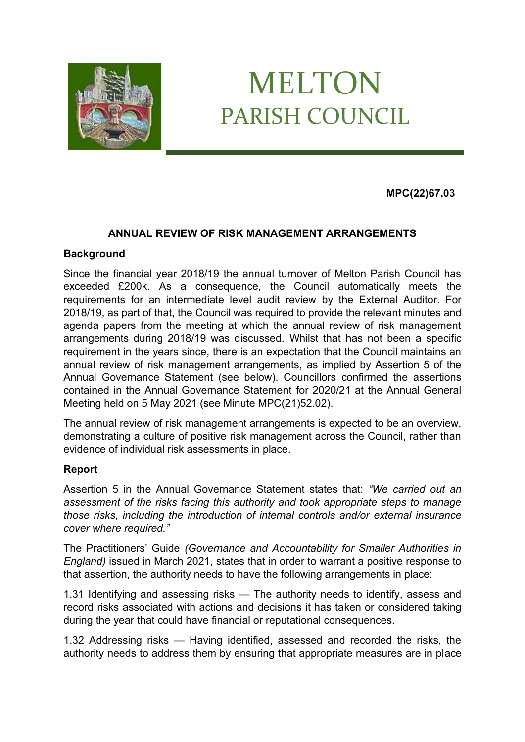

# MELTON PARISH COUNCIL

## **MPC(22)67.03**

#### **ANNUAL REVIEW OF RISK MANAGEMENT ARRANGEMENTS**

#### **Background**

Since the financial year 2018/19 the annual turnover of Melton Parish Council has exceeded £200k. As a consequence, the Council automatically meets the requirements for an intermediate level audit review by the External Auditor. For 2018/19, as part of that, the Council was required to provide the relevant minutes and agenda papers from the meeting at which the annual review of risk management arrangements during 2018/19 was discussed. Whilst that has not been a specific requirement in the years since, there is an expectation that the Council maintains an annual review of risk management arrangements, as implied by Assertion 5 of the Annual Governance Statement (see below). Councillors confirmed the assertions contained in the Annual Governance Statement for 2020/21 at the Annual General Meeting held on 5 May 2021 (see Minute MPC(21)52.02).

The annual review of risk management arrangements is expected to be an overview, demonstrating a culture of positive risk management across the Council, rather than evidence of individual risk assessments in place.

#### **Report**

Assertion 5 in the Annual Governance Statement states that: *"We carried out an assessment of the risks facing this authority and took appropriate steps to manage those risks, including the introduction of internal controls and/or external insurance cover where required."*

The Practitioners' Guide *(Governance and Accountability for Smaller Authorities in England)* issued in March 2021, states that in order to warrant a positive response to that assertion, the authority needs to have the following arrangements in place:

1.31 Identifying and assessing risks — The authority needs to identify, assess and record risks associated with actions and decisions it has taken or considered taking during the year that could have financial or reputational consequences.

1.32 Addressing risks — Having identified, assessed and recorded the risks, the authority needs to address them by ensuring that appropriate measures are in place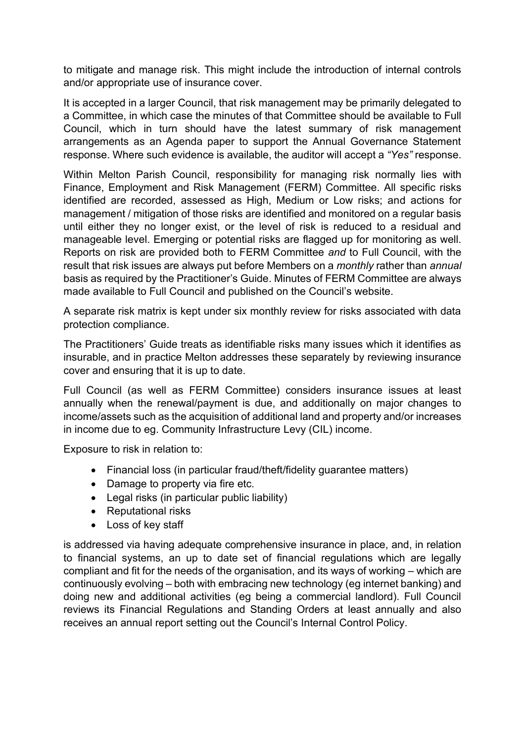to mitigate and manage risk. This might include the introduction of internal controls and/or appropriate use of insurance cover.

It is accepted in a larger Council, that risk management may be primarily delegated to a Committee, in which case the minutes of that Committee should be available to Full Council, which in turn should have the latest summary of risk management arrangements as an Agenda paper to support the Annual Governance Statement response. Where such evidence is available, the auditor will accept a *"Yes"* response.

Within Melton Parish Council, responsibility for managing risk normally lies with Finance, Employment and Risk Management (FERM) Committee. All specific risks identified are recorded, assessed as High, Medium or Low risks; and actions for management / mitigation of those risks are identified and monitored on a regular basis until either they no longer exist, or the level of risk is reduced to a residual and manageable level. Emerging or potential risks are flagged up for monitoring as well. Reports on risk are provided both to FERM Committee *and* to Full Council, with the result that risk issues are always put before Members on a *monthly* rather than *annual*  basis as required by the Practitioner's Guide. Minutes of FERM Committee are always made available to Full Council and published on the Council's website.

A separate risk matrix is kept under six monthly review for risks associated with data protection compliance.

The Practitioners' Guide treats as identifiable risks many issues which it identifies as insurable, and in practice Melton addresses these separately by reviewing insurance cover and ensuring that it is up to date.

Full Council (as well as FERM Committee) considers insurance issues at least annually when the renewal/payment is due, and additionally on major changes to income/assets such as the acquisition of additional land and property and/or increases in income due to eg. Community Infrastructure Levy (CIL) income.

Exposure to risk in relation to:

- Financial loss (in particular fraud/theft/fidelity guarantee matters)
- Damage to property via fire etc.
- Legal risks (in particular public liability)
- Reputational risks
- Loss of key staff

is addressed via having adequate comprehensive insurance in place, and, in relation to financial systems, an up to date set of financial regulations which are legally compliant and fit for the needs of the organisation, and its ways of working – which are continuously evolving – both with embracing new technology (eg internet banking) and doing new and additional activities (eg being a commercial landlord). Full Council reviews its Financial Regulations and Standing Orders at least annually and also receives an annual report setting out the Council's Internal Control Policy.